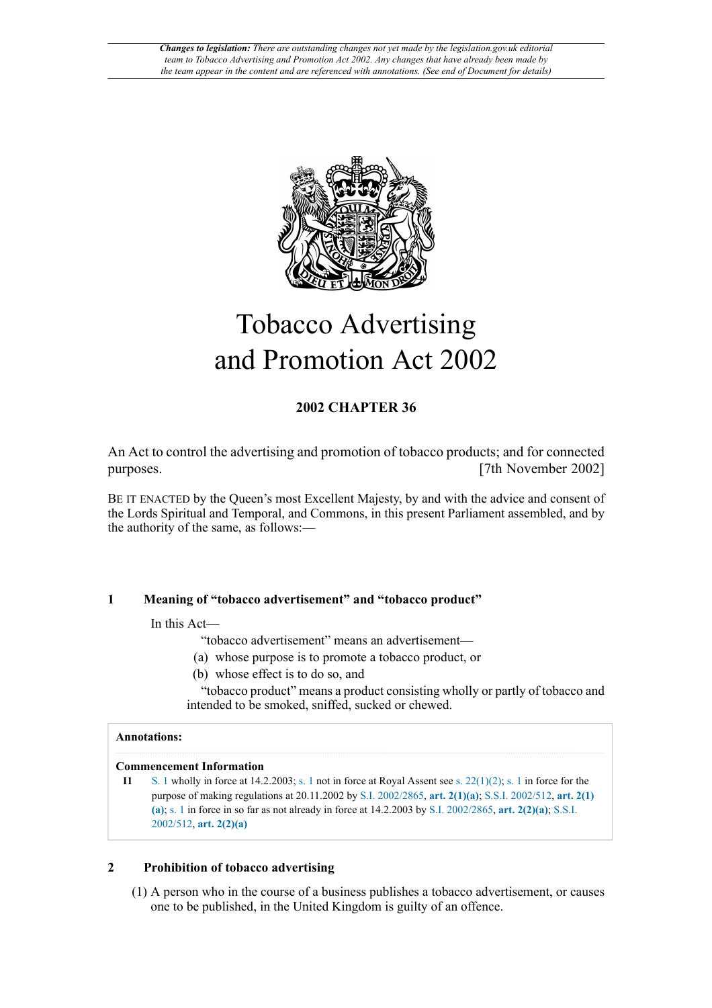

# Tobacco Advertising and Promotion Act 2002

# **2002 CHAPTER 36**

An Act to control the advertising and promotion of tobacco products; and for connected purposes. [7th November 2002]

BE IT ENACTED by the Queen's most Excellent Majesty, by and with the advice and consent of the Lords Spiritual and Temporal, and Commons, in this present Parliament assembled, and by the authority of the same, as follows:—

# **1 Meaning of "tobacco advertisement" and "tobacco product"**

In this Act—

"tobacco advertisement" means an advertisement—

- (a) whose purpose is to promote a tobacco product, or
- (b) whose effect is to do so, and

"tobacco product" means a product consisting wholly or partly of tobacco and intended to be smoked, sniffed, sucked or chewed.

## **Annotations:**

## **Commencement Information**

**I1** [S. 1](http://www.legislation.gov.uk/id/ukpga/2002/36/section/1) wholly in force at 14.2.2003; [s. 1](http://www.legislation.gov.uk/id/ukpga/2002/36/section/1) not in force at Royal Assent see [s. 22\(1\)\(2\)](http://www.legislation.gov.uk/id/ukpga/2002/36/section/22/1/2); [s. 1](http://www.legislation.gov.uk/id/ukpga/2002/36/section/1) in force for the purpose of making regulations at 20.11.2002 by [S.I. 2002/2865](http://www.legislation.gov.uk/id/uksi/2002/2865), **[art. 2\(1\)\(a\)](http://www.legislation.gov.uk/id/uksi/2002/2865/article/2/1/a)**; [S.S.I. 2002/512](http://www.legislation.gov.uk/id/ssi/2002/0512), **[art. 2\(1\)](http://www.legislation.gov.uk/id/ssi/2002/0512/article/2/1/a) [\(a\)](http://www.legislation.gov.uk/id/ssi/2002/0512/article/2/1/a)**; [s. 1](http://www.legislation.gov.uk/id/ukpga/2002/36/section/1) in force in so far as not already in force at 14.2.2003 by [S.I. 2002/2865](http://www.legislation.gov.uk/id/uksi/2002/2865), **[art. 2\(2\)\(a\)](http://www.legislation.gov.uk/id/uksi/2002/2865/article/2/2/a)**; [S.S.I.](http://www.legislation.gov.uk/id/ssi/2002/0512) [2002/512,](http://www.legislation.gov.uk/id/ssi/2002/0512) **[art. 2\(2\)\(a\)](http://www.legislation.gov.uk/id/ssi/2002/0512/article/2/2/a)**

## **2 Prohibition of tobacco advertising**

(1) A person who in the course of a business publishes a tobacco advertisement, or causes one to be published, in the United Kingdom is guilty of an offence.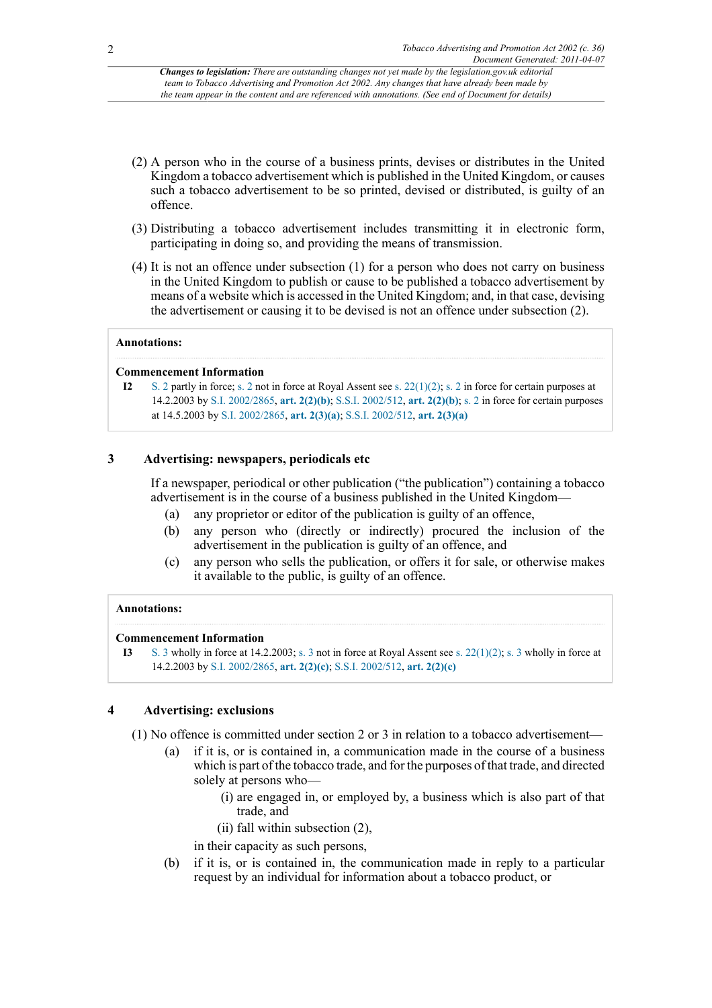- (2) A person who in the course of a business prints, devises or distributes in the United Kingdom a tobacco advertisement which is published in the United Kingdom, or causes such a tobacco advertisement to be so printed, devised or distributed, is guilty of an offence.
- (3) Distributing a tobacco advertisement includes transmitting it in electronic form, participating in doing so, and providing the means of transmission.
- (4) It is not an offence under subsection (1) for a person who does not carry on business in the United Kingdom to publish or cause to be published a tobacco advertisement by means of a website which is accessed in the United Kingdom; and, in that case, devising the advertisement or causing it to be devised is not an offence under subsection (2).

## **Annotations:**

#### **Commencement Information**

**I2** [S. 2](http://www.legislation.gov.uk/id/ukpga/2002/36/section/2) partly in force; [s. 2](http://www.legislation.gov.uk/id/ukpga/2002/36/section/2) not in force at Royal Assent see [s. 22\(1\)\(2\)](http://www.legislation.gov.uk/id/ukpga/2002/36/section/22/1/2); [s. 2](http://www.legislation.gov.uk/id/ukpga/2002/36/section/2) in force for certain purposes at 14.2.2003 by [S.I. 2002/2865](http://www.legislation.gov.uk/id/uksi/2002/2865), **[art. 2\(2\)\(b\)](http://www.legislation.gov.uk/id/uksi/2002/2865/article/2/2/b)**; [S.S.I. 2002/512,](http://www.legislation.gov.uk/id/ssi/2002/0512) **[art. 2\(2\)\(b\)](http://www.legislation.gov.uk/id/ssi/2002/0512/article/2/2/b)**; [s. 2](http://www.legislation.gov.uk/id/ukpga/2002/36/section/2) in force for certain purposes at 14.5.2003 by [S.I. 2002/2865](http://www.legislation.gov.uk/id/uksi/2002/2865), **[art. 2\(3\)\(a\)](http://www.legislation.gov.uk/id/uksi/2002/2865/article/2/3/a)**; [S.S.I. 2002/512,](http://www.legislation.gov.uk/id/ssi/2002/0512) **[art. 2\(3\)\(a\)](http://www.legislation.gov.uk/id/ssi/2002/0512/article/2/3/a)**

## **3 Advertising: newspapers, periodicals etc**

If a newspaper, periodical or other publication ("the publication") containing a tobacco advertisement is in the course of a business published in the United Kingdom—

- (a) any proprietor or editor of the publication is guilty of an offence,
- (b) any person who (directly or indirectly) procured the inclusion of the advertisement in the publication is guilty of an offence, and
- (c) any person who sells the publication, or offers it for sale, or otherwise makes it available to the public, is guilty of an offence.

## **Annotations:**

#### **Commencement Information**

**I3** [S. 3](http://www.legislation.gov.uk/id/ukpga/2002/36/section/3) wholly in force at  $14.2.2003$ ; [s. 3](http://www.legislation.gov.uk/id/ukpga/2002/36/section/3) not in force at Royal Assent see s.  $22(1)(2)$ ; s. 3 wholly in force at 14.2.2003 by [S.I. 2002/2865](http://www.legislation.gov.uk/id/uksi/2002/2865), **[art. 2\(2\)\(c\)](http://www.legislation.gov.uk/id/uksi/2002/2865/article/2/2/c)**; [S.S.I. 2002/512,](http://www.legislation.gov.uk/id/ssi/2002/0512) **[art. 2\(2\)\(c\)](http://www.legislation.gov.uk/id/ssi/2002/0512/article/2/2/c)**

## **4 Advertising: exclusions**

- (1) No offence is committed under section 2 or 3 in relation to a tobacco advertisement—
	- (a) if it is, or is contained in, a communication made in the course of a business which is part of the tobacco trade, and for the purposes of that trade, and directed solely at persons who—
		- (i) are engaged in, or employed by, a business which is also part of that trade, and
		- (ii) fall within subsection (2),

in their capacity as such persons,

(b) if it is, or is contained in, the communication made in reply to a particular request by an individual for information about a tobacco product, or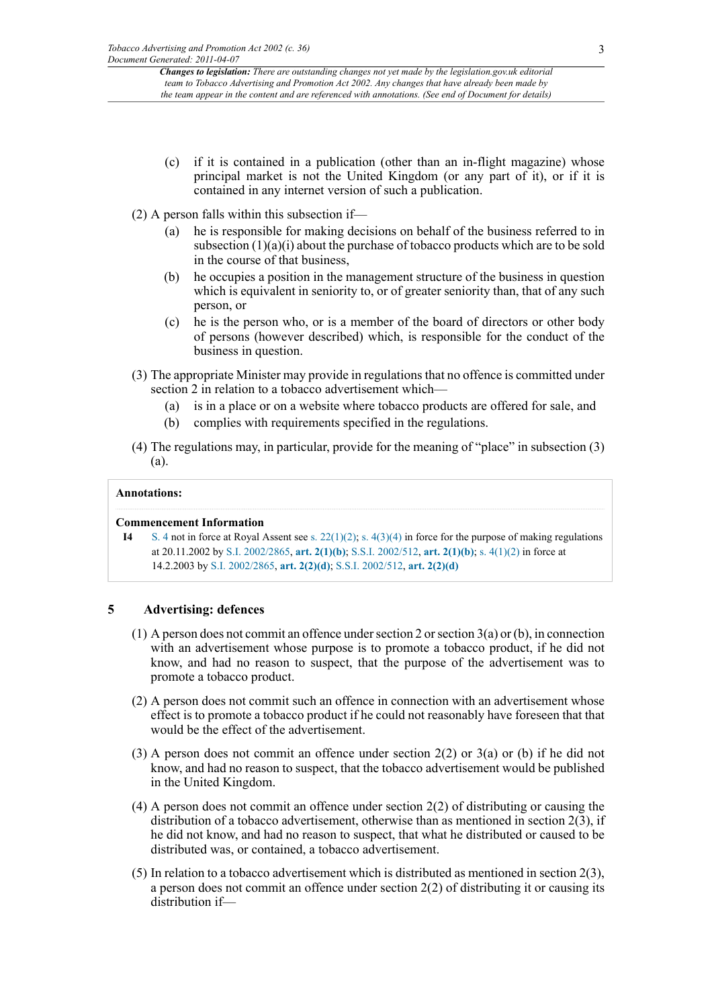- (c) if it is contained in a publication (other than an in-flight magazine) whose principal market is not the United Kingdom (or any part of it), or if it is contained in any internet version of such a publication.
- (2) A person falls within this subsection if—
	- (a) he is responsible for making decisions on behalf of the business referred to in subsection  $(1)(a)(i)$  about the purchase of tobacco products which are to be sold in the course of that business,
	- (b) he occupies a position in the management structure of the business in question which is equivalent in seniority to, or of greater seniority than, that of any such person, or
	- (c) he is the person who, or is a member of the board of directors or other body of persons (however described) which, is responsible for the conduct of the business in question.
- (3) The appropriate Minister may provide in regulations that no offence is committed under section 2 in relation to a tobacco advertisement which—
	- (a) is in a place or on a website where tobacco products are offered for sale, and
	- (b) complies with requirements specified in the regulations.
- (4) The regulations may, in particular, provide for the meaning of "place" in subsection (3) (a).

## **Annotations:**

#### **Commencement Information**

```
I4 S. 4 not in force at Royal Assent see s. 22(1)(2); s. 4(3)(4) in force for the purpose of making regulations
at 20.11.2002 by S.I. 2002/2865, art. 2(1)(b); S.S.I. 2002/512, art. 2(1)(b); s. 4(1)(2) in force at
14.2.2003 by S.I. 2002/2865, art. 2(2)(d); S.S.I. 2002/512, art. 2(2)(d)
```
## **5 Advertising: defences**

- (1) A person does not commit an offence under section 2 or section 3(a) or (b), in connection with an advertisement whose purpose is to promote a tobacco product, if he did not know, and had no reason to suspect, that the purpose of the advertisement was to promote a tobacco product.
- (2) A person does not commit such an offence in connection with an advertisement whose effect is to promote a tobacco product if he could not reasonably have foreseen that that would be the effect of the advertisement.
- (3) A person does not commit an offence under section 2(2) or 3(a) or (b) if he did not know, and had no reason to suspect, that the tobacco advertisement would be published in the United Kingdom.
- (4) A person does not commit an offence under section 2(2) of distributing or causing the distribution of a tobacco advertisement, otherwise than as mentioned in section 2(3), if he did not know, and had no reason to suspect, that what he distributed or caused to be distributed was, or contained, a tobacco advertisement.
- (5) In relation to a tobacco advertisement which is distributed as mentioned in section 2(3), a person does not commit an offence under section 2(2) of distributing it or causing its distribution if—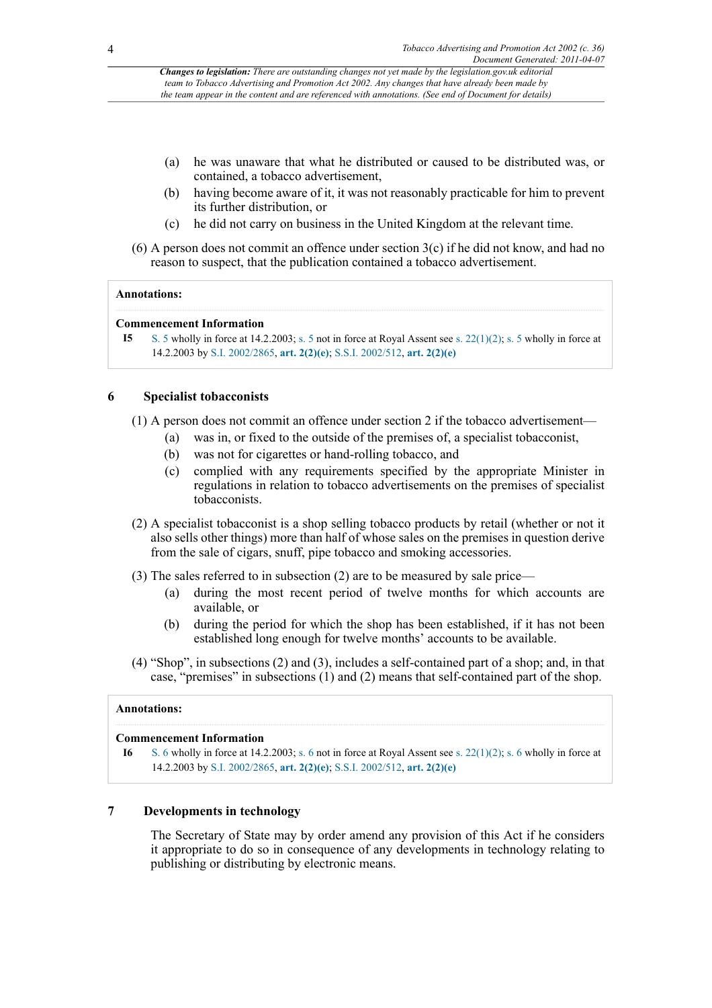- (a) he was unaware that what he distributed or caused to be distributed was, or contained, a tobacco advertisement,
- (b) having become aware of it, it was not reasonably practicable for him to prevent its further distribution, or
- (c) he did not carry on business in the United Kingdom at the relevant time.
- $(6)$  A person does not commit an offence under section  $3(c)$  if he did not know, and had no reason to suspect, that the publication contained a tobacco advertisement.

# **Annotations:**

# **Commencement Information**

**I5** [S. 5](http://www.legislation.gov.uk/id/ukpga/2002/36/section/5) wholly in force at 14.2.2003; [s. 5](http://www.legislation.gov.uk/id/ukpga/2002/36/section/5) not in force at Royal Assent see [s. 22\(1\)\(2\)](http://www.legislation.gov.uk/id/ukpga/2002/36/section/22/1/2); [s. 5](http://www.legislation.gov.uk/id/ukpga/2002/36/section/5) wholly in force at 14.2.2003 by [S.I. 2002/2865](http://www.legislation.gov.uk/id/uksi/2002/2865), **[art. 2\(2\)\(e\)](http://www.legislation.gov.uk/id/uksi/2002/2865/article/2/2/e)**; [S.S.I. 2002/512,](http://www.legislation.gov.uk/id/ssi/2002/0512) **[art. 2\(2\)\(e\)](http://www.legislation.gov.uk/id/ssi/2002/0512/article/2/2/e)**

# **6 Specialist tobacconists**

- (1) A person does not commit an offence under section 2 if the tobacco advertisement—
	- (a) was in, or fixed to the outside of the premises of, a specialist tobacconist,
	- (b) was not for cigarettes or hand-rolling tobacco, and
	- (c) complied with any requirements specified by the appropriate Minister in regulations in relation to tobacco advertisements on the premises of specialist tobacconists.
- (2) A specialist tobacconist is a shop selling tobacco products by retail (whether or not it also sells other things) more than half of whose sales on the premises in question derive from the sale of cigars, snuff, pipe tobacco and smoking accessories.
- (3) The sales referred to in subsection (2) are to be measured by sale price—
	- (a) during the most recent period of twelve months for which accounts are available, or
	- (b) during the period for which the shop has been established, if it has not been established long enough for twelve months' accounts to be available.
- (4) "Shop", in subsections (2) and (3), includes a self-contained part of a shop; and, in that case, "premises" in subsections (1) and (2) means that self-contained part of the shop.

# **Annotations:**

# **Commencement Information**

**I6** [S. 6](http://www.legislation.gov.uk/id/ukpga/2002/36/section/6) wholly in force at 14.2.2003; [s. 6](http://www.legislation.gov.uk/id/ukpga/2002/36/section/6) not in force at Royal Assent see [s. 22\(1\)\(2\)](http://www.legislation.gov.uk/id/ukpga/2002/36/section/22/1/2); [s. 6](http://www.legislation.gov.uk/id/ukpga/2002/36/section/6) wholly in force at 14.2.2003 by [S.I. 2002/2865](http://www.legislation.gov.uk/id/uksi/2002/2865), **[art. 2\(2\)\(e\)](http://www.legislation.gov.uk/id/uksi/2002/2865/article/2/2/e)**; [S.S.I. 2002/512,](http://www.legislation.gov.uk/id/ssi/2002/0512) **[art. 2\(2\)\(e\)](http://www.legislation.gov.uk/id/ssi/2002/0512/article/2/2/e)**

# **7 Developments in technology**

The Secretary of State may by order amend any provision of this Act if he considers it appropriate to do so in consequence of any developments in technology relating to publishing or distributing by electronic means.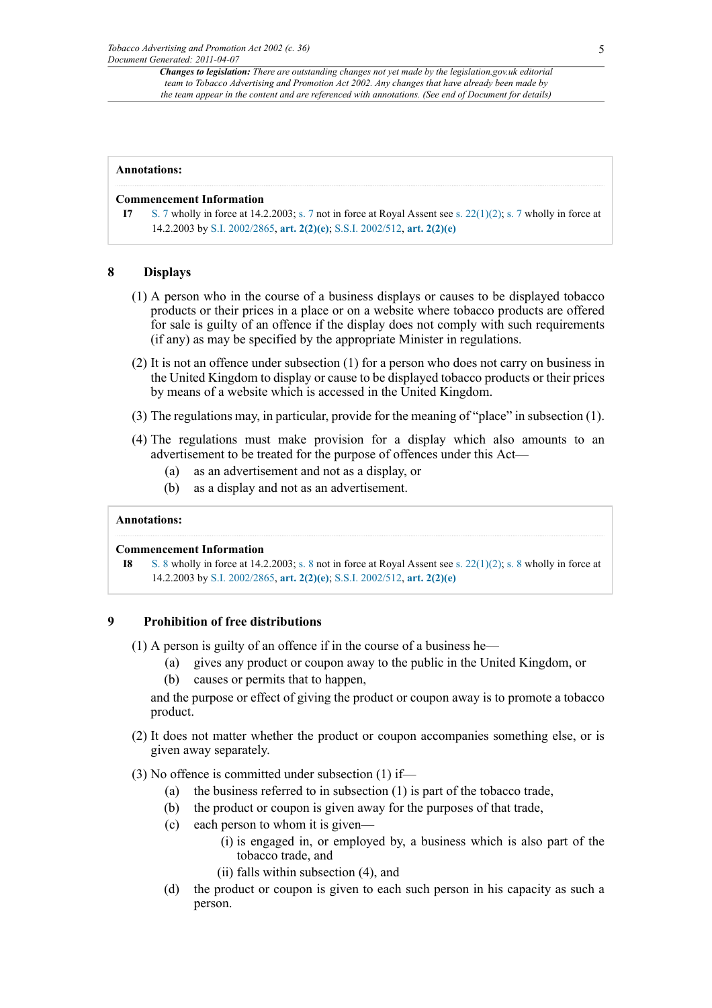## **Annotations:**

## **Commencement Information**

**I7** [S. 7](http://www.legislation.gov.uk/id/ukpga/2002/36/section/7) wholly in force at 14.2.2003; [s. 7](http://www.legislation.gov.uk/id/ukpga/2002/36/section/7) not in force at Royal Assent see [s. 22\(1\)\(2\)](http://www.legislation.gov.uk/id/ukpga/2002/36/section/22/1/2); [s. 7](http://www.legislation.gov.uk/id/ukpga/2002/36/section/7) wholly in force at 14.2.2003 by [S.I. 2002/2865](http://www.legislation.gov.uk/id/uksi/2002/2865), **[art. 2\(2\)\(e\)](http://www.legislation.gov.uk/id/uksi/2002/2865/article/2/2/e)**; [S.S.I. 2002/512,](http://www.legislation.gov.uk/id/ssi/2002/0512) **[art. 2\(2\)\(e\)](http://www.legislation.gov.uk/id/ssi/2002/0512/article/2/2/e)**

# **8 Displays**

- (1) A person who in the course of a business displays or causes to be displayed tobacco products or their prices in a place or on a website where tobacco products are offered for sale is guilty of an offence if the display does not comply with such requirements (if any) as may be specified by the appropriate Minister in regulations.
- (2) It is not an offence under subsection (1) for a person who does not carry on business in the United Kingdom to display or cause to be displayed tobacco products or their prices by means of a website which is accessed in the United Kingdom.
- (3) The regulations may, in particular, provide for the meaning of "place" in subsection (1).
- (4) The regulations must make provision for a display which also amounts to an advertisement to be treated for the purpose of offences under this Act—
	- (a) as an advertisement and not as a display, or
	- (b) as a display and not as an advertisement.

# **Annotations:**

## **Commencement Information**

```
I8 S. 8 wholly in force at 14.2.2003; s. 8 not in force at Royal Assent see s. 22(1)(2); s. 8 wholly in force at
14.2.2003 by S.I. 2002/2865, art. 2(2)(e); S.S.I. 2002/512, art. 2(2)(e)
```
# **9 Prohibition of free distributions**

- (1) A person is guilty of an offence if in the course of a business he—
	- (a) gives any product or coupon away to the public in the United Kingdom, or (b) causes or permits that to happen,

and the purpose or effect of giving the product or coupon away is to promote a tobacco product.

- (2) It does not matter whether the product or coupon accompanies something else, or is given away separately.
- (3) No offence is committed under subsection (1) if—
	- (a) the business referred to in subsection (1) is part of the tobacco trade,
	- (b) the product or coupon is given away for the purposes of that trade,
	- (c) each person to whom it is given—
		- (i) is engaged in, or employed by, a business which is also part of the tobacco trade, and
		- (ii) falls within subsection (4), and
	- (d) the product or coupon is given to each such person in his capacity as such a person.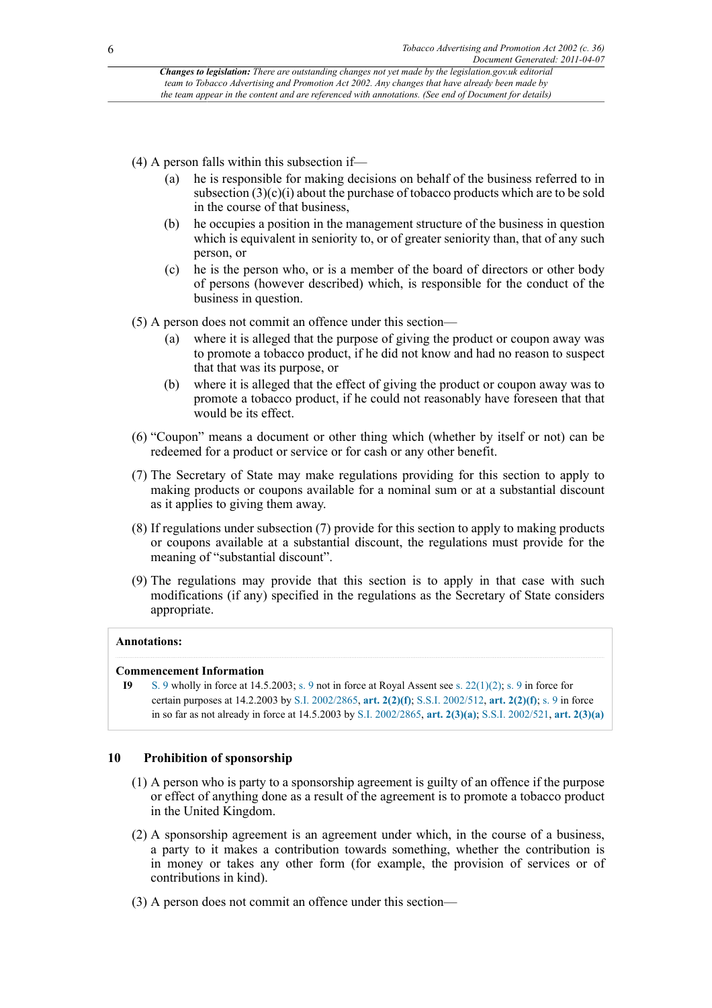(4) A person falls within this subsection if—

- (a) he is responsible for making decisions on behalf of the business referred to in subsection  $(3)(c)(i)$  about the purchase of tobacco products which are to be sold in the course of that business,
- (b) he occupies a position in the management structure of the business in question which is equivalent in seniority to, or of greater seniority than, that of any such person, or
- (c) he is the person who, or is a member of the board of directors or other body of persons (however described) which, is responsible for the conduct of the business in question.

(5) A person does not commit an offence under this section—

- (a) where it is alleged that the purpose of giving the product or coupon away was to promote a tobacco product, if he did not know and had no reason to suspect that that was its purpose, or
- (b) where it is alleged that the effect of giving the product or coupon away was to promote a tobacco product, if he could not reasonably have foreseen that that would be its effect.
- (6) "Coupon" means a document or other thing which (whether by itself or not) can be redeemed for a product or service or for cash or any other benefit.
- (7) The Secretary of State may make regulations providing for this section to apply to making products or coupons available for a nominal sum or at a substantial discount as it applies to giving them away.
- (8) If regulations under subsection (7) provide for this section to apply to making products or coupons available at a substantial discount, the regulations must provide for the meaning of "substantial discount".
- (9) The regulations may provide that this section is to apply in that case with such modifications (if any) specified in the regulations as the Secretary of State considers appropriate.

## **Annotations:**

## **Commencement Information**

**I9** [S. 9](http://www.legislation.gov.uk/id/ukpga/2002/36/section/9) wholly in force at 14.5.2003; [s. 9](http://www.legislation.gov.uk/id/ukpga/2002/36/section/9) not in force at Royal Assent see [s. 22\(1\)\(2\)](http://www.legislation.gov.uk/id/ukpga/2002/36/section/22/1/2); [s. 9](http://www.legislation.gov.uk/id/ukpga/2002/36/section/9) in force for certain purposes at 14.2.2003 by [S.I. 2002/2865](http://www.legislation.gov.uk/id/uksi/2002/2865), **[art. 2\(2\)\(f\)](http://www.legislation.gov.uk/id/uksi/2002/2865/article/2/2/f)**; [S.S.I. 2002/512](http://www.legislation.gov.uk/id/ssi/2002/0512), **[art. 2\(2\)\(f\)](http://www.legislation.gov.uk/id/ssi/2002/0512/article/2/2/f)**; [s. 9](http://www.legislation.gov.uk/id/ukpga/2002/36/section/9) in force in so far as not already in force at 14.5.2003 by [S.I. 2002/2865](http://www.legislation.gov.uk/id/uksi/2002/2865), **[art. 2\(3\)\(a\)](http://www.legislation.gov.uk/id/uksi/2002/2865/article/2/3/a)**; [S.S.I. 2002/521,](http://www.legislation.gov.uk/id/ssi/2002/0521) **[art. 2\(3\)\(a\)](http://www.legislation.gov.uk/id/ssi/2002/0521/article/2/3/a)**

## **10 Prohibition of sponsorship**

- (1) A person who is party to a sponsorship agreement is guilty of an offence if the purpose or effect of anything done as a result of the agreement is to promote a tobacco product in the United Kingdom.
- (2) A sponsorship agreement is an agreement under which, in the course of a business, a party to it makes a contribution towards something, whether the contribution is in money or takes any other form (for example, the provision of services or of contributions in kind).
- (3) A person does not commit an offence under this section—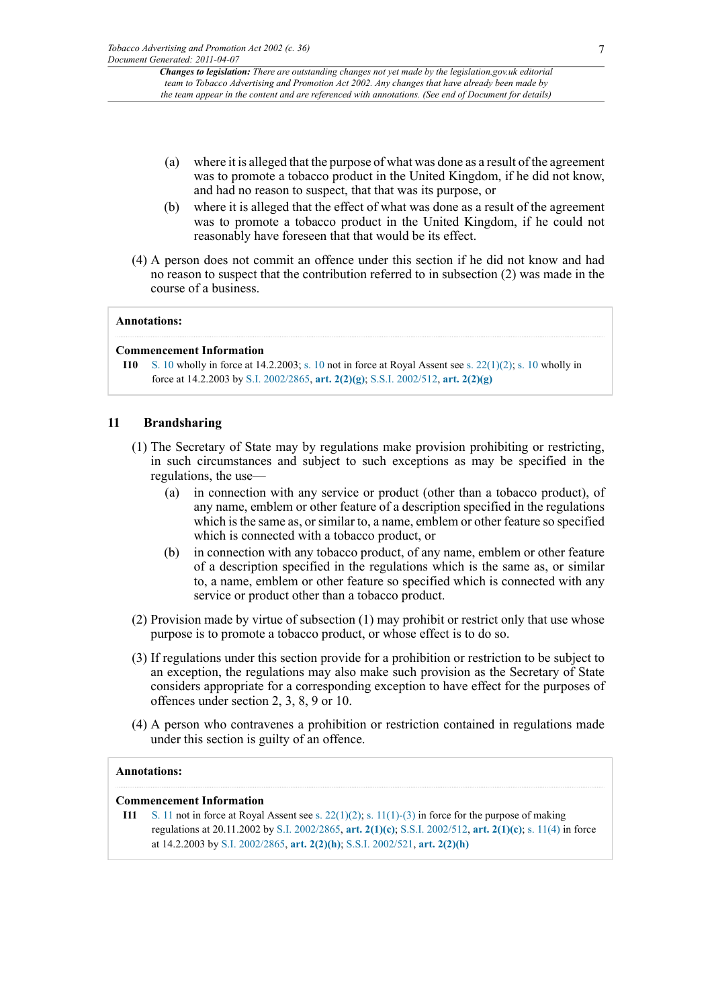- (a) where it is alleged that the purpose of what was done as a result of the agreement was to promote a tobacco product in the United Kingdom, if he did not know, and had no reason to suspect, that that was its purpose, or
- (b) where it is alleged that the effect of what was done as a result of the agreement was to promote a tobacco product in the United Kingdom, if he could not reasonably have foreseen that that would be its effect.
- (4) A person does not commit an offence under this section if he did not know and had no reason to suspect that the contribution referred to in subsection (2) was made in the course of a business.

## **Annotations:**

#### **Commencement Information**

**I10** [S. 10](http://www.legislation.gov.uk/id/ukpga/2002/36/section/10) wholly in force at 14.2.2003; [s. 10](http://www.legislation.gov.uk/id/ukpga/2002/36/section/10) not in force at Royal Assent see [s. 22\(1\)\(2\)](http://www.legislation.gov.uk/id/ukpga/2002/36/section/22/1/2); [s. 10](http://www.legislation.gov.uk/id/ukpga/2002/36/section/10) wholly in force at 14.2.2003 by [S.I. 2002/2865,](http://www.legislation.gov.uk/id/uksi/2002/2865) **[art. 2\(2\)\(g\)](http://www.legislation.gov.uk/id/uksi/2002/2865/article/2/2/g)**; [S.S.I. 2002/512,](http://www.legislation.gov.uk/id/ssi/2002/0512) **[art. 2\(2\)\(g\)](http://www.legislation.gov.uk/id/ssi/2002/0512/article/2/2/g)**

## **11 Brandsharing**

- (1) The Secretary of State may by regulations make provision prohibiting or restricting, in such circumstances and subject to such exceptions as may be specified in the regulations, the use—
	- (a) in connection with any service or product (other than a tobacco product), of any name, emblem or other feature of a description specified in the regulations which is the same as, or similar to, a name, emblem or other feature so specified which is connected with a tobacco product, or
	- (b) in connection with any tobacco product, of any name, emblem or other feature of a description specified in the regulations which is the same as, or similar to, a name, emblem or other feature so specified which is connected with any service or product other than a tobacco product.
- (2) Provision made by virtue of subsection (1) may prohibit or restrict only that use whose purpose is to promote a tobacco product, or whose effect is to do so.
- (3) If regulations under this section provide for a prohibition or restriction to be subject to an exception, the regulations may also make such provision as the Secretary of State considers appropriate for a corresponding exception to have effect for the purposes of offences under section 2, 3, 8, 9 or 10.
- (4) A person who contravenes a prohibition or restriction contained in regulations made under this section is guilty of an offence.

## **Annotations:**

#### **Commencement Information**

**I11** [S. 11](http://www.legislation.gov.uk/id/ukpga/2002/36/section/11) not in force at Royal Assent see [s. 22\(1\)\(2\);](http://www.legislation.gov.uk/id/ukpga/2002/36/section/22/1/2) [s. 11\(1\)-\(3\)](http://www.legislation.gov.uk/id/ukpga/2002/36/section/11/1) in force for the purpose of making regulations at 20.11.2002 by [S.I. 2002/2865,](http://www.legislation.gov.uk/id/uksi/2002/2865) **[art. 2\(1\)\(c\)](http://www.legislation.gov.uk/id/uksi/2002/2865/article/2/1/c)**; [S.S.I. 2002/512,](http://www.legislation.gov.uk/id/ssi/2002/0512) **[art. 2\(1\)\(c\)](http://www.legislation.gov.uk/id/ssi/2002/0512/article/2/1/c)**; [s. 11\(4\)](http://www.legislation.gov.uk/id/ukpga/2002/36/section/11/4) in force at 14.2.2003 by [S.I. 2002/2865](http://www.legislation.gov.uk/id/uksi/2002/2865), **[art. 2\(2\)\(h\)](http://www.legislation.gov.uk/id/uksi/2002/2865/article/2/2/h)**; [S.S.I. 2002/521](http://www.legislation.gov.uk/id/ssi/2002/0521), **[art. 2\(2\)\(h\)](http://www.legislation.gov.uk/id/ssi/2002/0521/article/2/2/h)**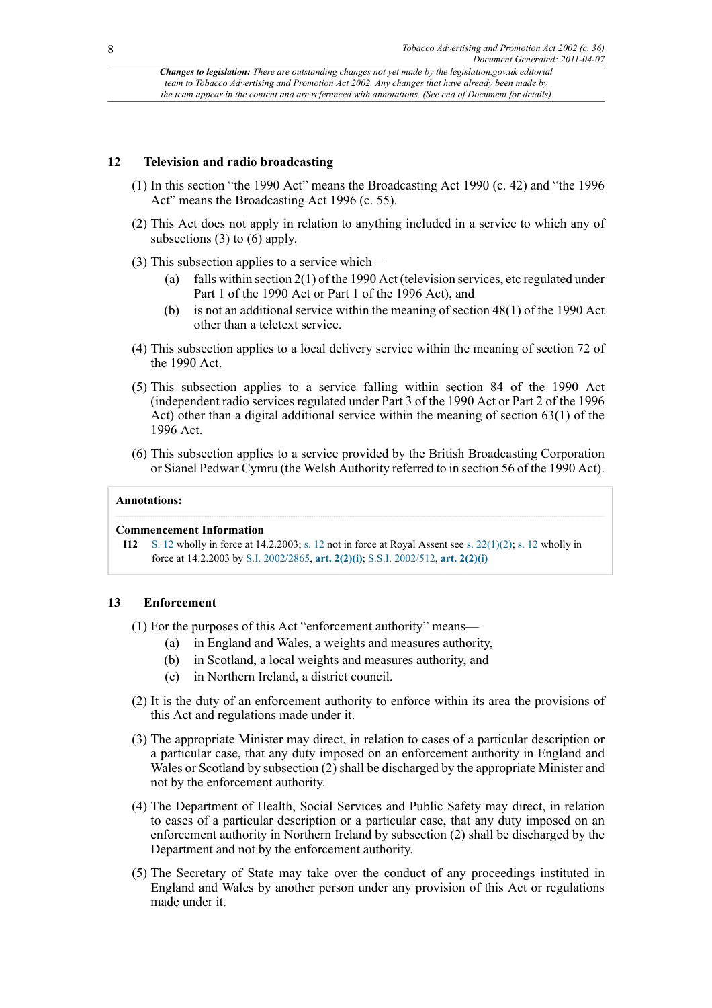## **12 Television and radio broadcasting**

- (1) In this section "the 1990 Act" means the Broadcasting Act 1990 (c. 42) and "the 1996 Act" means the Broadcasting Act 1996 (c. 55).
- (2) This Act does not apply in relation to anything included in a service to which any of subsections (3) to (6) apply.
- (3) This subsection applies to a service which—
	- (a) falls within section 2(1) of the 1990 Act (television services, etc regulated under Part 1 of the 1990 Act or Part 1 of the 1996 Act), and
	- (b) is not an additional service within the meaning of section 48(1) of the 1990 Act other than a teletext service.
- (4) This subsection applies to a local delivery service within the meaning of section 72 of the 1990 Act.
- (5) This subsection applies to a service falling within section 84 of the 1990 Act (independent radio services regulated under Part 3 of the 1990 Act or Part 2 of the 1996 Act) other than a digital additional service within the meaning of section 63(1) of the 1996 Act.
- (6) This subsection applies to a service provided by the British Broadcasting Corporation or Sianel Pedwar Cymru (the Welsh Authority referred to in section 56 of the 1990 Act).

#### **Annotations:**

## **Commencement Information**

**I12** [S. 12](http://www.legislation.gov.uk/id/ukpga/2002/36/section/12) wholly in force at  $14.2.2003$ ; [s. 12](http://www.legislation.gov.uk/id/ukpga/2002/36/section/12) not in force at Royal Assent see s.  $22(1)(2)$ ; [s. 12](http://www.legislation.gov.uk/id/ukpga/2002/36/section/12) wholly in force at 14.2.2003 by [S.I. 2002/2865,](http://www.legislation.gov.uk/id/uksi/2002/2865) **[art. 2\(2\)\(i\)](http://www.legislation.gov.uk/id/uksi/2002/2865/article/2/2/i)**; [S.S.I. 2002/512,](http://www.legislation.gov.uk/id/ssi/2002/0512) **[art. 2\(2\)\(i\)](http://www.legislation.gov.uk/id/ssi/2002/0512/article/2/2/i)**

## **13 Enforcement**

- (1) For the purposes of this Act "enforcement authority" means—
	- (a) in England and Wales, a weights and measures authority,
	- (b) in Scotland, a local weights and measures authority, and
	- (c) in Northern Ireland, a district council.
- (2) It is the duty of an enforcement authority to enforce within its area the provisions of this Act and regulations made under it.
- (3) The appropriate Minister may direct, in relation to cases of a particular description or a particular case, that any duty imposed on an enforcement authority in England and Wales or Scotland by subsection (2) shall be discharged by the appropriate Minister and not by the enforcement authority.
- (4) The Department of Health, Social Services and Public Safety may direct, in relation to cases of a particular description or a particular case, that any duty imposed on an enforcement authority in Northern Ireland by subsection (2) shall be discharged by the Department and not by the enforcement authority.
- (5) The Secretary of State may take over the conduct of any proceedings instituted in England and Wales by another person under any provision of this Act or regulations made under it.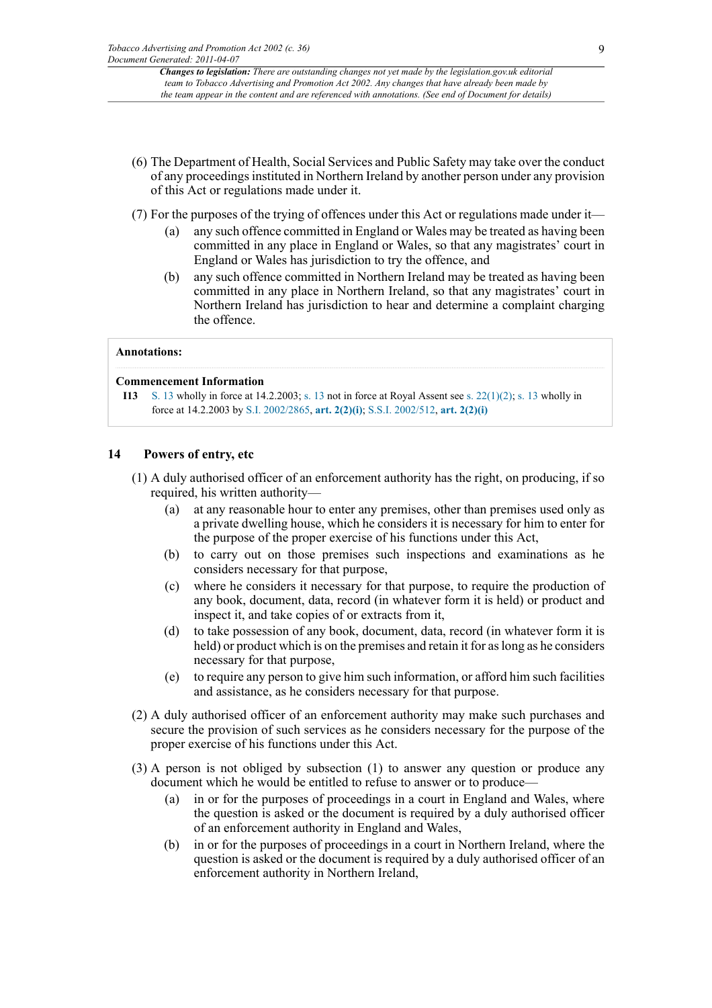- (6) The Department of Health, Social Services and Public Safety may take over the conduct of any proceedings instituted in Northern Ireland by another person under any provision of this Act or regulations made under it.
- (7) For the purposes of the trying of offences under this Act or regulations made under it—
	- (a) any such offence committed in England or Wales may be treated as having been committed in any place in England or Wales, so that any magistrates' court in England or Wales has jurisdiction to try the offence, and
	- (b) any such offence committed in Northern Ireland may be treated as having been committed in any place in Northern Ireland, so that any magistrates' court in Northern Ireland has jurisdiction to hear and determine a complaint charging the offence.

#### **Annotations:**

#### **Commencement Information**

**I13** [S. 13](http://www.legislation.gov.uk/id/ukpga/2002/36/section/13) wholly in force at 14.2.2003; [s. 13](http://www.legislation.gov.uk/id/ukpga/2002/36/section/13) not in force at Royal Assent see s.  $22(1)(2)$ ; [s. 13](http://www.legislation.gov.uk/id/ukpga/2002/36/section/13) wholly in force at 14.2.2003 by [S.I. 2002/2865,](http://www.legislation.gov.uk/id/uksi/2002/2865) **[art. 2\(2\)\(i\)](http://www.legislation.gov.uk/id/uksi/2002/2865/article/2/2/i)**; [S.S.I. 2002/512,](http://www.legislation.gov.uk/id/ssi/2002/0512) **[art. 2\(2\)\(i\)](http://www.legislation.gov.uk/id/ssi/2002/0512/article/2/2/i)**

## **14 Powers of entry, etc**

- (1) A duly authorised officer of an enforcement authority has the right, on producing, if so required, his written authority—
	- (a) at any reasonable hour to enter any premises, other than premises used only as a private dwelling house, which he considers it is necessary for him to enter for the purpose of the proper exercise of his functions under this Act,
	- (b) to carry out on those premises such inspections and examinations as he considers necessary for that purpose,
	- (c) where he considers it necessary for that purpose, to require the production of any book, document, data, record (in whatever form it is held) or product and inspect it, and take copies of or extracts from it,
	- (d) to take possession of any book, document, data, record (in whatever form it is held) or product which is on the premises and retain it for as long as he considers necessary for that purpose,
	- (e) to require any person to give him such information, or afford him such facilities and assistance, as he considers necessary for that purpose.
- (2) A duly authorised officer of an enforcement authority may make such purchases and secure the provision of such services as he considers necessary for the purpose of the proper exercise of his functions under this Act.
- (3) A person is not obliged by subsection (1) to answer any question or produce any document which he would be entitled to refuse to answer or to produce—
	- (a) in or for the purposes of proceedings in a court in England and Wales, where the question is asked or the document is required by a duly authorised officer of an enforcement authority in England and Wales,
	- (b) in or for the purposes of proceedings in a court in Northern Ireland, where the question is asked or the document is required by a duly authorised officer of an enforcement authority in Northern Ireland,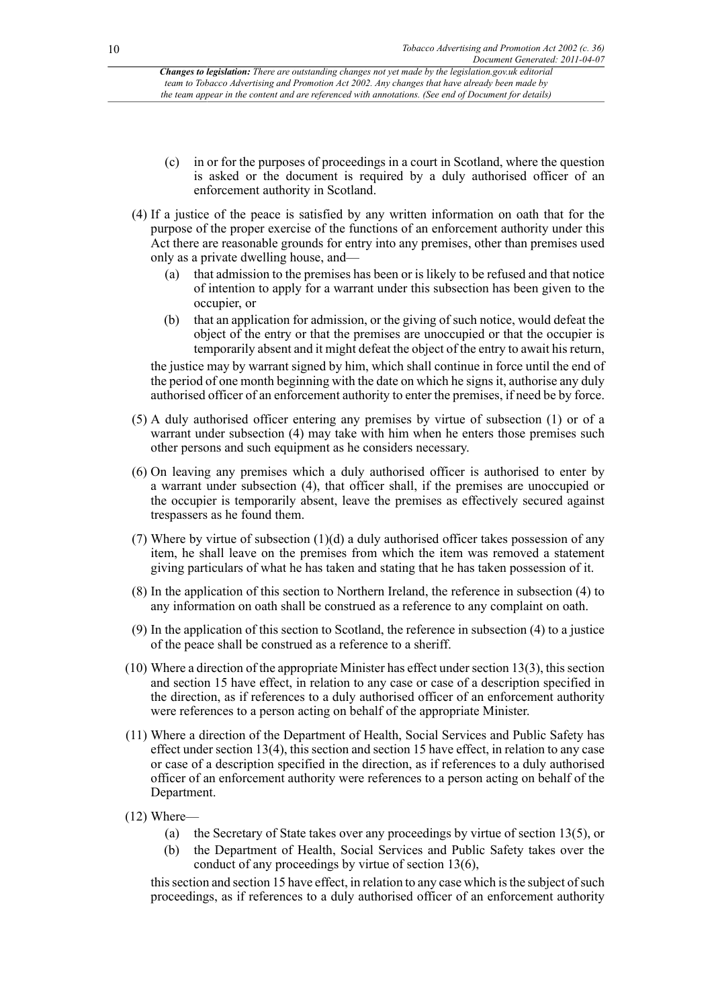- (c) in or for the purposes of proceedings in a court in Scotland, where the question is asked or the document is required by a duly authorised officer of an enforcement authority in Scotland.
- (4) If a justice of the peace is satisfied by any written information on oath that for the purpose of the proper exercise of the functions of an enforcement authority under this Act there are reasonable grounds for entry into any premises, other than premises used only as a private dwelling house, and—
	- (a) that admission to the premises has been or is likely to be refused and that notice of intention to apply for a warrant under this subsection has been given to the occupier, or
	- (b) that an application for admission, or the giving of such notice, would defeat the object of the entry or that the premises are unoccupied or that the occupier is temporarily absent and it might defeat the object of the entry to await his return,

the justice may by warrant signed by him, which shall continue in force until the end of the period of one month beginning with the date on which he signs it, authorise any duly authorised officer of an enforcement authority to enter the premises, if need be by force.

- (5) A duly authorised officer entering any premises by virtue of subsection (1) or of a warrant under subsection (4) may take with him when he enters those premises such other persons and such equipment as he considers necessary.
- (6) On leaving any premises which a duly authorised officer is authorised to enter by a warrant under subsection (4), that officer shall, if the premises are unoccupied or the occupier is temporarily absent, leave the premises as effectively secured against trespassers as he found them.
- (7) Where by virtue of subsection  $(1)(d)$  a duly authorised officer takes possession of any item, he shall leave on the premises from which the item was removed a statement giving particulars of what he has taken and stating that he has taken possession of it.
- (8) In the application of this section to Northern Ireland, the reference in subsection (4) to any information on oath shall be construed as a reference to any complaint on oath.
- (9) In the application of this section to Scotland, the reference in subsection (4) to a justice of the peace shall be construed as a reference to a sheriff.
- (10) Where a direction of the appropriate Minister has effect under section 13(3), this section and section 15 have effect, in relation to any case or case of a description specified in the direction, as if references to a duly authorised officer of an enforcement authority were references to a person acting on behalf of the appropriate Minister.
- (11) Where a direction of the Department of Health, Social Services and Public Safety has effect under section 13(4), this section and section 15 have effect, in relation to any case or case of a description specified in the direction, as if references to a duly authorised officer of an enforcement authority were references to a person acting on behalf of the Department.
- (12) Where—
	- (a) the Secretary of State takes over any proceedings by virtue of section 13(5), or
	- (b) the Department of Health, Social Services and Public Safety takes over the conduct of any proceedings by virtue of section 13(6),

this section and section 15 have effect, in relation to any case which is the subject of such proceedings, as if references to a duly authorised officer of an enforcement authority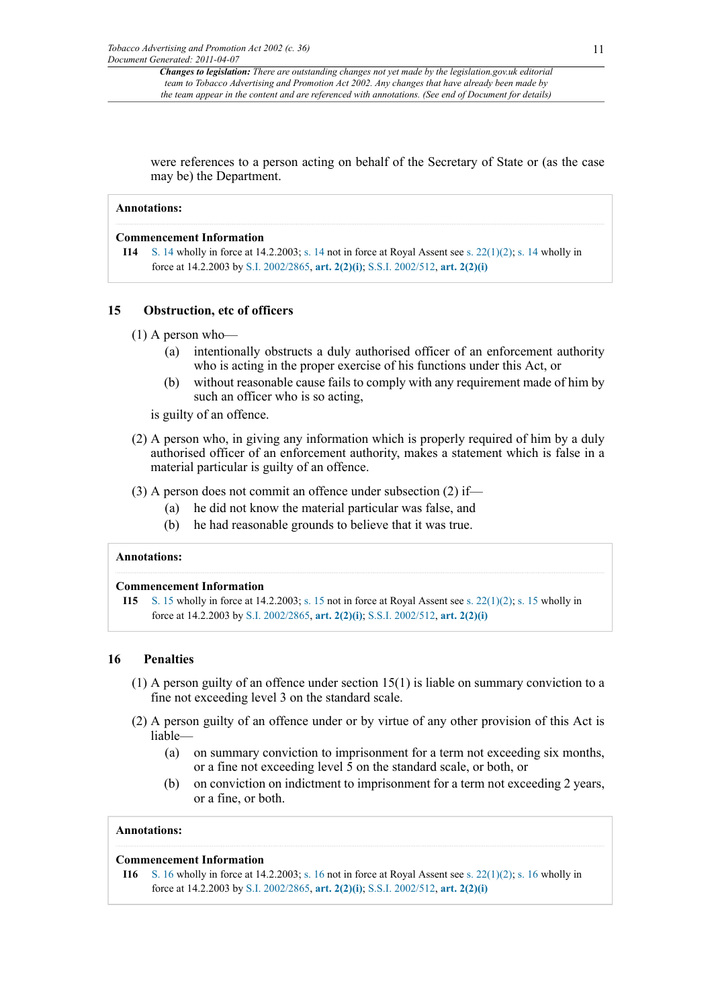were references to a person acting on behalf of the Secretary of State or (as the case may be) the Department.

#### **Annotations:**

#### **Commencement Information**

**I14** [S. 14](http://www.legislation.gov.uk/id/ukpga/2002/36/section/14) wholly in force at 14.2.2003; [s. 14](http://www.legislation.gov.uk/id/ukpga/2002/36/section/14) not in force at Royal Assent see s.  $22(1)(2)$ ; [s. 14](http://www.legislation.gov.uk/id/ukpga/2002/36/section/14) wholly in force at 14.2.2003 by [S.I. 2002/2865,](http://www.legislation.gov.uk/id/uksi/2002/2865) **[art. 2\(2\)\(i\)](http://www.legislation.gov.uk/id/uksi/2002/2865/article/2/2/i)**; [S.S.I. 2002/512,](http://www.legislation.gov.uk/id/ssi/2002/0512) **[art. 2\(2\)\(i\)](http://www.legislation.gov.uk/id/ssi/2002/0512/article/2/2/i)**

## **15 Obstruction, etc of officers**

- (1) A person who—
	- (a) intentionally obstructs a duly authorised officer of an enforcement authority who is acting in the proper exercise of his functions under this Act, or
	- (b) without reasonable cause fails to comply with any requirement made of him by such an officer who is so acting,

is guilty of an offence.

- (2) A person who, in giving any information which is properly required of him by a duly authorised officer of an enforcement authority, makes a statement which is false in a material particular is guilty of an offence.
- (3) A person does not commit an offence under subsection (2) if—
	- (a) he did not know the material particular was false, and
	- (b) he had reasonable grounds to believe that it was true.

## **Annotations:**

#### **Commencement Information**

**I15** [S. 15](http://www.legislation.gov.uk/id/ukpga/2002/36/section/15) wholly in force at  $14.2.2003$ ; [s. 15](http://www.legislation.gov.uk/id/ukpga/2002/36/section/15) not in force at Royal Assent see s.  $22(1)(2)$ ; [s. 15](http://www.legislation.gov.uk/id/ukpga/2002/36/section/15) wholly in force at 14.2.2003 by [S.I. 2002/2865,](http://www.legislation.gov.uk/id/uksi/2002/2865) **[art. 2\(2\)\(i\)](http://www.legislation.gov.uk/id/uksi/2002/2865/article/2/2/i)**; [S.S.I. 2002/512,](http://www.legislation.gov.uk/id/ssi/2002/0512) **[art. 2\(2\)\(i\)](http://www.legislation.gov.uk/id/ssi/2002/0512/article/2/2/i)**

#### **16 Penalties**

- (1) A person guilty of an offence under section 15(1) is liable on summary conviction to a fine not exceeding level 3 on the standard scale.
- (2) A person guilty of an offence under or by virtue of any other provision of this Act is liable—
	- (a) on summary conviction to imprisonment for a term not exceeding six months, or a fine not exceeding level 5 on the standard scale, or both, or
	- (b) on conviction on indictment to imprisonment for a term not exceeding 2 years, or a fine, or both.

#### **Annotations:**

#### **Commencement Information**

```
I16S. 16 wholly in force at 14.2.2003 s. 16 not in force at Royal Assent see s. 22(1)(2)s. 16 wholly in
force at 14.2.2003 by S.I. 2002/2865, art. 2(2)(i); S.S.I. 2002/512, art. 2(2)(i)
```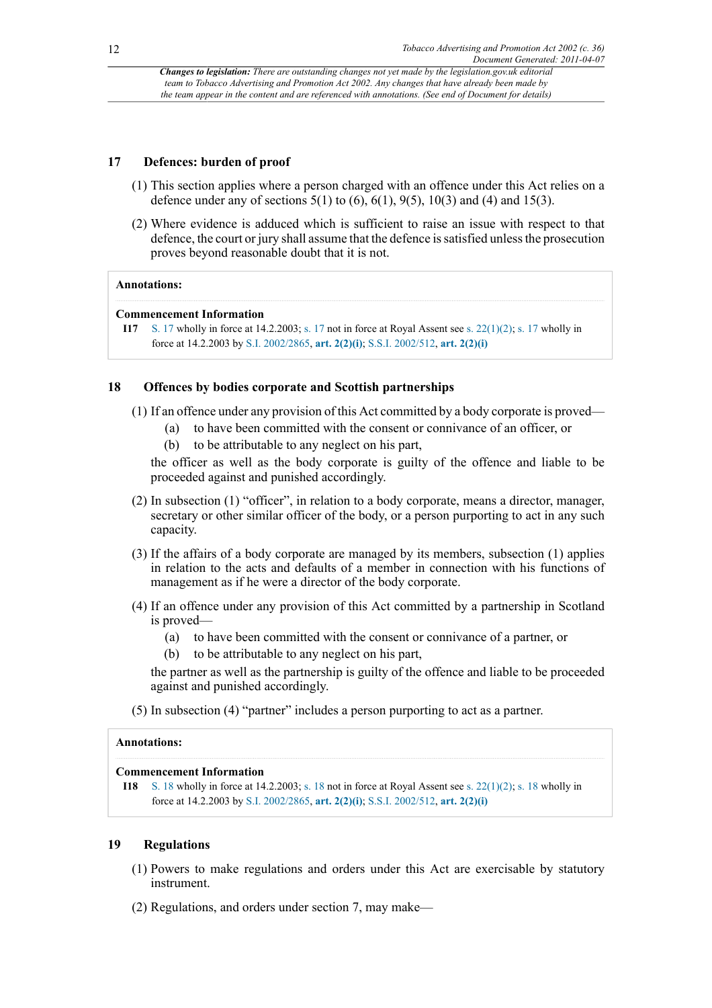## **17 Defences: burden of proof**

- (1) This section applies where a person charged with an offence under this Act relies on a defence under any of sections  $5(1)$  to  $(6)$ ,  $6(1)$ ,  $9(5)$ ,  $10(3)$  and  $(4)$  and  $15(3)$ .
- (2) Where evidence is adduced which is sufficient to raise an issue with respect to that defence, the court or jury shall assume that the defence is satisfied unless the prosecution proves beyond reasonable doubt that it is not.

#### **Annotations:**

#### **Commencement Information**

```
I17S. 17 wholly in force at 14.2.2003 s. 17 not in force at Royal Assent see s. 22(1)(2)s. 17 wholly in
force at 14.2.2003 by S.I. 2002/2865, art. 2(2)(i); S.S.I. 2002/512, art. 2(2)(i)
```
#### **18 Offences by bodies corporate and Scottish partnerships**

- (1) If an offence under any provision of this Act committed by a body corporate is proved—
	- (a) to have been committed with the consent or connivance of an officer, or
	- (b) to be attributable to any neglect on his part,

the officer as well as the body corporate is guilty of the offence and liable to be proceeded against and punished accordingly.

- (2) In subsection (1) "officer", in relation to a body corporate, means a director, manager, secretary or other similar officer of the body, or a person purporting to act in any such capacity.
- (3) If the affairs of a body corporate are managed by its members, subsection (1) applies in relation to the acts and defaults of a member in connection with his functions of management as if he were a director of the body corporate.
- (4) If an offence under any provision of this Act committed by a partnership in Scotland is proved—
	- (a) to have been committed with the consent or connivance of a partner, or
	- (b) to be attributable to any neglect on his part,

the partner as well as the partnership is guilty of the offence and liable to be proceeded against and punished accordingly.

(5) In subsection (4) "partner" includes a person purporting to act as a partner.

## **Annotations:**

#### **Commencement Information**

**I18** [S. 18](http://www.legislation.gov.uk/id/ukpga/2002/36/section/18) wholly in force at 14.2.2003; [s. 18](http://www.legislation.gov.uk/id/ukpga/2002/36/section/18) not in force at Royal Assent see [s. 22\(1\)\(2\)](http://www.legislation.gov.uk/id/ukpga/2002/36/section/22/1/2); [s. 18](http://www.legislation.gov.uk/id/ukpga/2002/36/section/18) wholly in force at 14.2.2003 by [S.I. 2002/2865,](http://www.legislation.gov.uk/id/uksi/2002/2865) **[art. 2\(2\)\(i\)](http://www.legislation.gov.uk/id/uksi/2002/2865/article/2/2/i)**; [S.S.I. 2002/512,](http://www.legislation.gov.uk/id/ssi/2002/0512) **[art. 2\(2\)\(i\)](http://www.legislation.gov.uk/id/ssi/2002/0512/article/2/2/i)**

## **19 Regulations**

- (1) Powers to make regulations and orders under this Act are exercisable by statutory instrument.
- (2) Regulations, and orders under section 7, may make—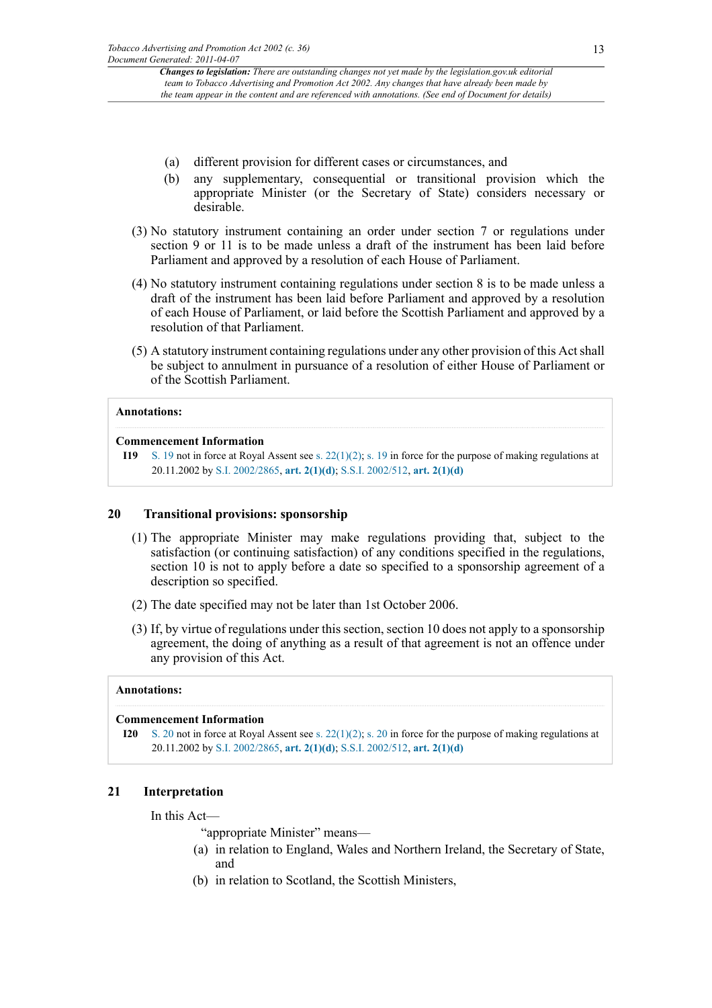- (a) different provision for different cases or circumstances, and
- (b) any supplementary, consequential or transitional provision which the appropriate Minister (or the Secretary of State) considers necessary or desirable.
- (3) No statutory instrument containing an order under section 7 or regulations under section 9 or 11 is to be made unless a draft of the instrument has been laid before Parliament and approved by a resolution of each House of Parliament.
- (4) No statutory instrument containing regulations under section 8 is to be made unless a draft of the instrument has been laid before Parliament and approved by a resolution of each House of Parliament, or laid before the Scottish Parliament and approved by a resolution of that Parliament.
- (5) A statutory instrument containing regulations under any other provision of this Act shall be subject to annulment in pursuance of a resolution of either House of Parliament or of the Scottish Parliament.

## **Annotations:**

## **Commencement Information**

**I19** [S. 19](http://www.legislation.gov.uk/id/ukpga/2002/36/section/19) not in force at Royal Assent see [s. 22\(1\)\(2\)](http://www.legislation.gov.uk/id/ukpga/2002/36/section/22/1/2); [s. 19](http://www.legislation.gov.uk/id/ukpga/2002/36/section/19) in force for the purpose of making regulations at 20.11.2002 by [S.I. 2002/2865,](http://www.legislation.gov.uk/id/uksi/2002/2865) **[art. 2\(1\)\(d\)](http://www.legislation.gov.uk/id/uksi/2002/2865/article/2/1/d)**; [S.S.I. 2002/512,](http://www.legislation.gov.uk/id/ssi/2002/0512) **[art. 2\(1\)\(d\)](http://www.legislation.gov.uk/id/ssi/2002/0512/article/2/1/d)**

## **20 Transitional provisions: sponsorship**

- (1) The appropriate Minister may make regulations providing that, subject to the satisfaction (or continuing satisfaction) of any conditions specified in the regulations, section 10 is not to apply before a date so specified to a sponsorship agreement of a description so specified.
- (2) The date specified may not be later than 1st October 2006.
- (3) If, by virtue of regulations under this section, section 10 does not apply to a sponsorship agreement, the doing of anything as a result of that agreement is not an offence under any provision of this Act.

## **Annotations:**

#### **Commencement Information**

**I20** [S. 20](http://www.legislation.gov.uk/id/ukpga/2002/36/section/20) not in force at Royal Assent see [s. 22\(1\)\(2\)](http://www.legislation.gov.uk/id/ukpga/2002/36/section/22/1/2); [s. 20](http://www.legislation.gov.uk/id/ukpga/2002/36/section/20) in force for the purpose of making regulations at 20.11.2002 by [S.I. 2002/2865,](http://www.legislation.gov.uk/id/uksi/2002/2865) **[art. 2\(1\)\(d\)](http://www.legislation.gov.uk/id/uksi/2002/2865/article/2/1/d)**; [S.S.I. 2002/512,](http://www.legislation.gov.uk/id/ssi/2002/0512) **[art. 2\(1\)\(d\)](http://www.legislation.gov.uk/id/ssi/2002/0512/article/2/1/d)**

## **21 Interpretation**

## In this Act—

"appropriate Minister" means—

- (a) in relation to England, Wales and Northern Ireland, the Secretary of State, and
- (b) in relation to Scotland, the Scottish Ministers,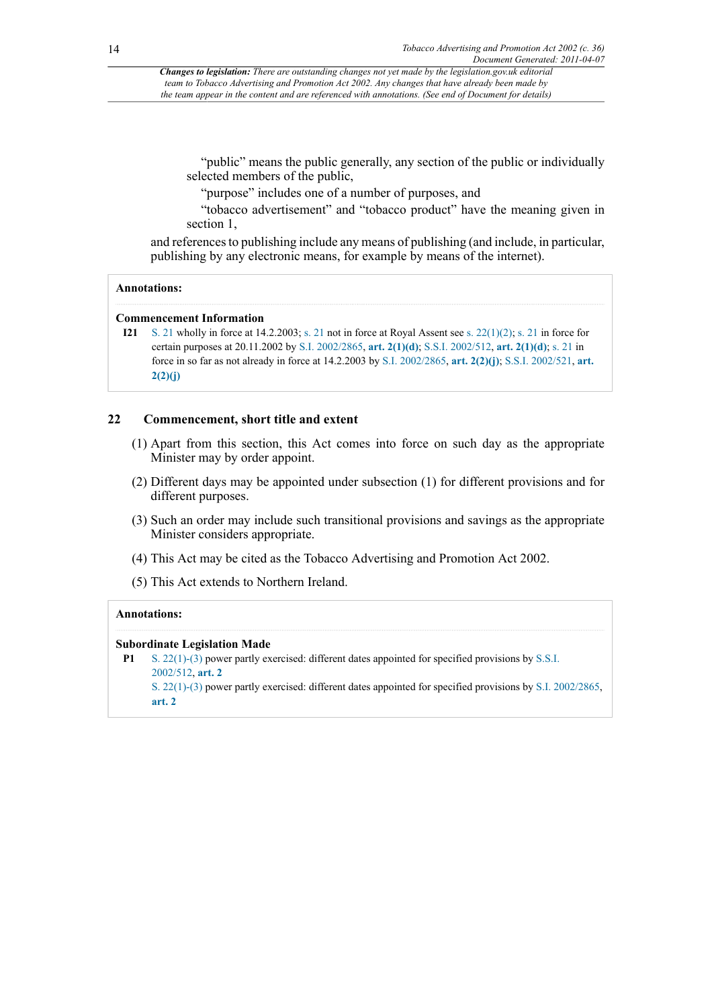"public" means the public generally, any section of the public or individually selected members of the public,

"purpose" includes one of a number of purposes, and

"tobacco advertisement" and "tobacco product" have the meaning given in section 1,

and references to publishing include any means of publishing (and include, in particular, publishing by any electronic means, for example by means of the internet).

## **Annotations:**

# **Commencement Information**

**I21** [S. 21](http://www.legislation.gov.uk/id/ukpga/2002/36/section/21) wholly in force at  $14.2.2003$ ; [s. 21](http://www.legislation.gov.uk/id/ukpga/2002/36/section/21) not in force at Royal Assent see s.  $22(1)(2)$ ; [s. 21](http://www.legislation.gov.uk/id/ukpga/2002/36/section/21) in force for certain purposes at 20.11.2002 by [S.I. 2002/2865](http://www.legislation.gov.uk/id/uksi/2002/2865), **[art. 2\(1\)\(d\)](http://www.legislation.gov.uk/id/uksi/2002/2865/article/2/1/d)**; [S.S.I. 2002/512,](http://www.legislation.gov.uk/id/ssi/2002/0512) **[art. 2\(1\)\(d\)](http://www.legislation.gov.uk/id/ssi/2002/0512/article/2/1/d)**; [s. 21](http://www.legislation.gov.uk/id/ukpga/2002/36/section/21) in force in so far as not already in force at 14.2.2003 by [S.I. 2002/2865,](http://www.legislation.gov.uk/id/uksi/2002/2865) **[art. 2\(2\)\(j\)](http://www.legislation.gov.uk/id/uksi/2002/2865/article/2/2/j)**; [S.S.I. 2002/521](http://www.legislation.gov.uk/id/ssi/2002/0521), **[art.](http://www.legislation.gov.uk/id/ssi/2002/0521/article/2/2/j) [2\(2\)\(j\)](http://www.legislation.gov.uk/id/ssi/2002/0521/article/2/2/j)**

# **22 Commencement, short title and extent**

- (1) Apart from this section, this Act comes into force on such day as the appropriate Minister may by order appoint.
- (2) Different days may be appointed under subsection (1) for different provisions and for different purposes.
- (3) Such an order may include such transitional provisions and savings as the appropriate Minister considers appropriate.
- (4) This Act may be cited as the Tobacco Advertising and Promotion Act 2002.
- (5) This Act extends to Northern Ireland.

# **Annotations:**

# **Subordinate Legislation Made**

```
P1 S. 22(1)-(3) power partly exercised: different dates appointed for specified provisions by S.S.I.
2002/512, art. 2
S. 22(1)-(3) power partly exercised: different dates appointed for specified provisions by S.I. 2002/2865,
art. 2
```